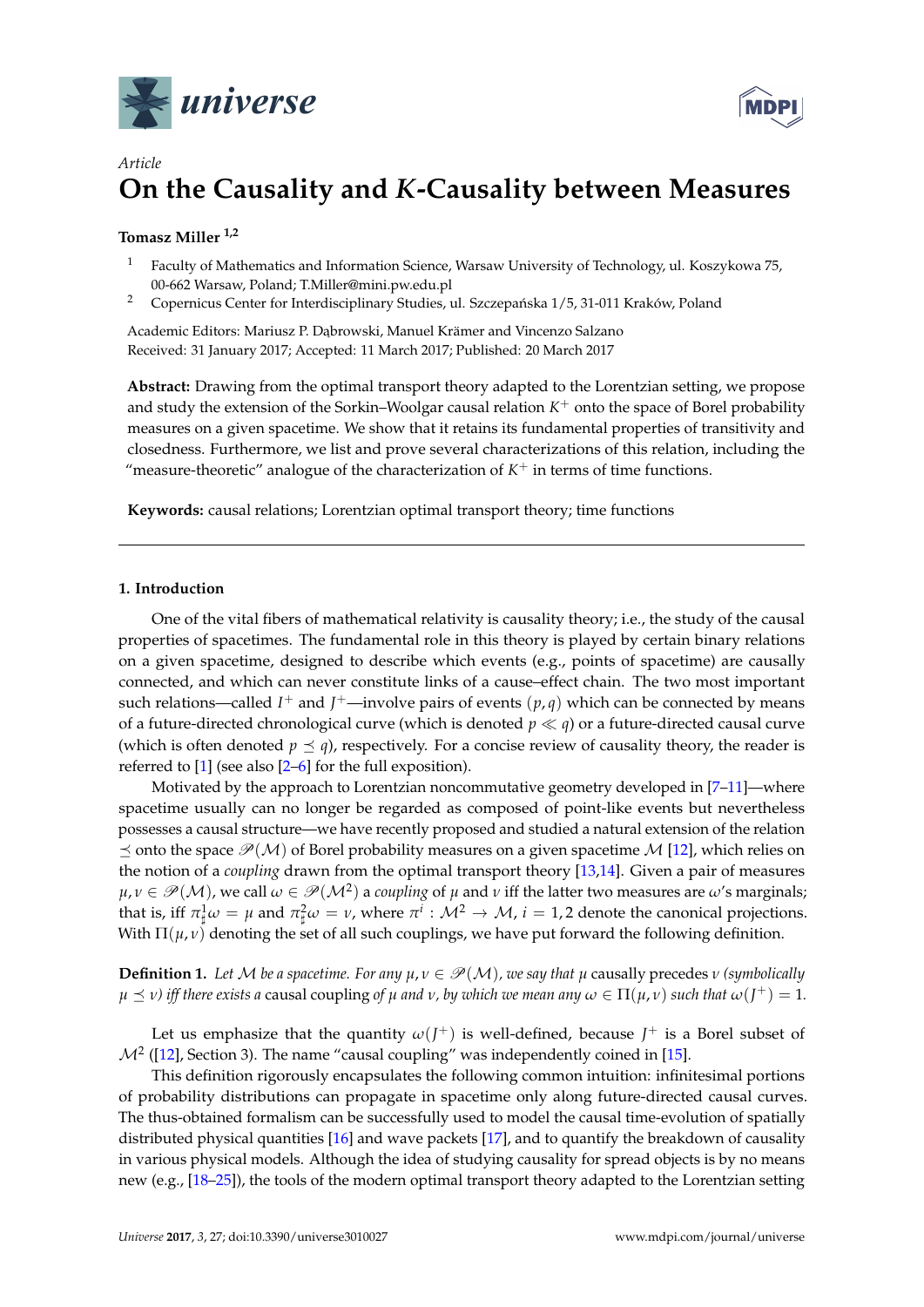



# *Article* **On the Causality and** *K***-Causality between Measures**

# **Tomasz Miller 1,2**

- <sup>1</sup> Faculty of Mathematics and Information Science, Warsaw University of Technology, ul. Koszykowa 75, 00-662 Warsaw, Poland; T.Miller@mini.pw.edu.pl
- <sup>2</sup> Copernicus Center for Interdisciplinary Studies, ul. Szczepańska 1/5, 31-011 Kraków, Poland

Academic Editors: Mariusz P. Dąbrowski, Manuel Krämer and Vincenzo Salzano Received: 31 January 2017; Accepted: 11 March 2017; Published: 20 March 2017

**Abstract:** Drawing from the optimal transport theory adapted to the Lorentzian setting, we propose and study the extension of the Sorkin–Woolgar causal relation  $K^+$  onto the space of Borel probability measures on a given spacetime. We show that it retains its fundamental properties of transitivity and closedness. Furthermore, we list and prove several characterizations of this relation, including the "measure-theoretic" analogue of the characterization of  $K^+$  in terms of time functions.

**Keywords:** causal relations; Lorentzian optimal transport theory; time functions

## **1. Introduction**

One of the vital fibers of mathematical relativity is causality theory; i.e., the study of the causal properties of spacetimes. The fundamental role in this theory is played by certain binary relations on a given spacetime, designed to describe which events (e.g., points of spacetime) are causally connected, and which can never constitute links of a cause–effect chain. The two most important such relations—called  $I^+$  and  $J^+$ —involve pairs of events  $(p,q)$  which can be connected by means of a future-directed chronological curve (which is denoted  $p \ll q$ ) or a future-directed causal curve (which is often denoted  $p \leq q$ ), respectively. For a concise review of causality theory, the reader is referred to [\[1\]](#page-7-0) (see also [\[2](#page-7-1)[–6\]](#page-7-2) for the full exposition).

Motivated by the approach to Lorentzian noncommutative geometry developed in [\[7–](#page-7-3)[11\]](#page-7-4)—where spacetime usually can no longer be regarded as composed of point-like events but nevertheless possesses a causal structure—we have recently proposed and studied a natural extension of the relation  $\preceq$  onto the space  $\mathcal{P}(\mathcal{M})$  of Borel probability measures on a given spacetime M [\[12\]](#page-7-5), which relies on the notion of a *coupling* drawn from the optimal transport theory [\[13,](#page-7-6)[14\]](#page-7-7). Given a pair of measures  $\mu,\nu\in\mathscr{P}(\mathcal{M})$ , we call  $\omega\in\mathscr{P}(\mathcal{M}^2)$  a *coupling* of  $\mu$  and  $\nu$  iff the latter two measures are  $\omega'$ s marginals; that is, iff  $\pi_\sharp^1\omega=\mu$  and  $\pi_\sharp^2\omega=\nu$ , where  $\pi^i:\mathcal{M}^2\to\mathcal{M}$ ,  $i=1,2$  denote the canonical projections. With  $\Pi(\mu, \nu)$  denoting the set of all such couplings, we have put forward the following definition.

<span id="page-0-0"></span>**Definition 1.** Let M be a spacetime. For any  $\mu, \nu \in \mathcal{P}(\mathcal{M})$ , we say that  $\mu$  causally precedes  $\nu$  (symbolically  $\mu\preceq\nu$ ) iff there exists a causal coupling of  $\mu$  and  $\nu$ , by which we mean any  $\omega\in\Pi(\mu,\nu)$  such that  $\omega(J^+)=1.$ 

Let us emphasize that the quantity  $\omega(J^+)$  is well-defined, because  $J^+$  is a Borel subset of  $\mathcal{M}^2$  ([\[12\]](#page-7-5), Section 3). The name "causal coupling" was independently coined in [\[15\]](#page-7-8).

This definition rigorously encapsulates the following common intuition: infinitesimal portions of probability distributions can propagate in spacetime only along future-directed causal curves. The thus-obtained formalism can be successfully used to model the causal time-evolution of spatially distributed physical quantities [\[16\]](#page-7-9) and wave packets [\[17\]](#page-7-10), and to quantify the breakdown of causality in various physical models. Although the idea of studying causality for spread objects is by no means new (e.g., [\[18](#page-7-11)[–25\]](#page-8-0)), the tools of the modern optimal transport theory adapted to the Lorentzian setting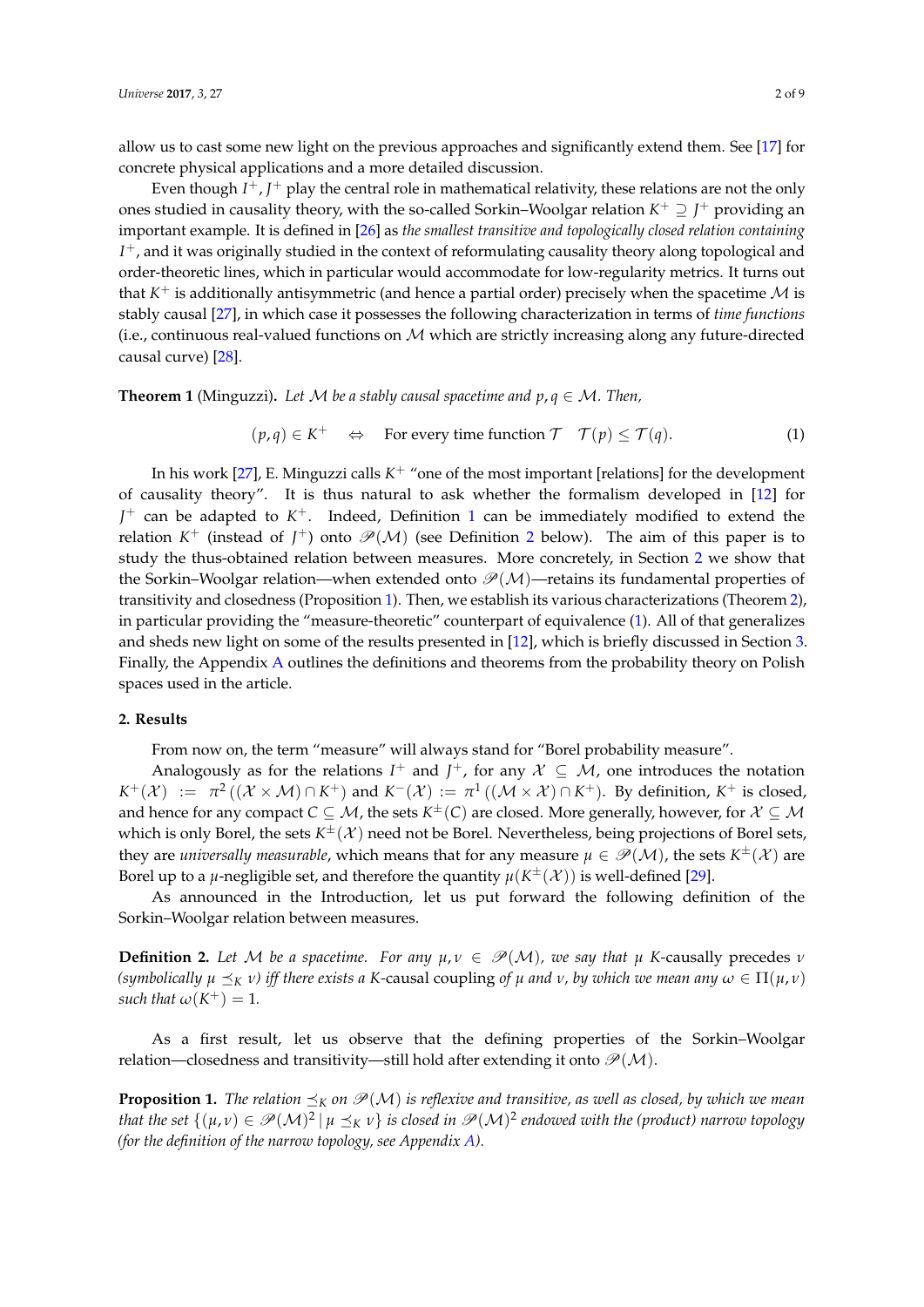allow us to cast some new light on the previous approaches and significantly extend them. See [\[17\]](#page-7-10) for concrete physical applications and a more detailed discussion.

Even though  $I^+$ ,  $J^+$  play the central role in mathematical relativity, these relations are not the only ones studied in causality theory, with the so-called Sorkin–Woolgar relation *K* <sup>+</sup> ⊇ *J* <sup>+</sup> providing an important example. It is defined in [\[26\]](#page-8-1) as *the smallest transitive and topologically closed relation containing I* <sup>+</sup>, and it was originally studied in the context of reformulating causality theory along topological and order-theoretic lines, which in particular would accommodate for low-regularity metrics. It turns out that  $K^+$  is additionally antisymmetric (and hence a partial order) precisely when the spacetime  $\mathcal M$  is stably causal [\[27\]](#page-8-2), in which case it possesses the following characterization in terms of *time functions* (i.e., continuous real-valued functions on  $M$  which are strictly increasing along any future-directed causal curve) [\[28\]](#page-8-3).

<span id="page-1-4"></span>**Theorem 1** (Minguzzi). Let M be a stably causal spacetime and  $p, q \in M$ . Then,

<span id="page-1-3"></span>
$$
(p,q) \in K^+ \iff
$$
 For every time function  $\mathcal{T} \quad \mathcal{T}(p) \leq \mathcal{T}(q).$  (1)

In his work [\[27\]](#page-8-2), E. Minguzzi calls  $K^+$  "one of the most important [relations] for the development of causality theory". It is thus natural to ask whether the formalism developed in [\[12\]](#page-7-5) for *J* <sup>+</sup> can be adapted to *K* <sup>+</sup>. Indeed, Definition [1](#page-0-0) can be immediately modified to extend the relation  $K^+$  (instead of  $J^+$ ) onto  $\mathscr{P}(\mathcal{M})$  (see Definition [2](#page-1-0) below). The aim of this paper is to study the thus-obtained relation between measures. More concretely, in Section [2](#page-1-1) we show that the Sorkin–Woolgar relation—when extended onto  $\mathcal{P}(\mathcal{M})$ —retains its fundamental properties of transitivity and closedness (Proposition [1\)](#page-1-2). Then, we establish its various characterizations (Theorem [2\)](#page-2-0), in particular providing the "measure-theoretic" counterpart of equivalence [\(1\)](#page-1-3). All of that generalizes and sheds new light on some of the results presented in [\[12\]](#page-7-5), which is briefly discussed in Section [3.](#page-6-0) Finally, the Appendix [A](#page-6-1) outlines the definitions and theorems from the probability theory on Polish spaces used in the article.

# <span id="page-1-1"></span>**2. Results**

From now on, the term "measure" will always stand for "Borel probability measure".

Analogously as for the relations  $I^+$  and  $J^+$ , for any  $\mathcal{X} \subseteq \mathcal{M}$ , one introduces the notation  $K^+(\mathcal{X}) \ := \ \pi^2((\mathcal{X} \times \mathcal{M}) \cap K^+)$  and  $K^-(\mathcal{X}) := \pi^1((\mathcal{M} \times \mathcal{X}) \cap K^+)$ . By definition,  $K^+$  is closed, and hence for any compact  $C\subseteq\mathcal{M}$ , the sets  $K^\pm(C)$  are closed. More generally, however, for  $\mathcal{X}\subseteq\mathcal{M}$ which is only Borel, the sets  $K^{\pm}(\mathcal{X})$  need not be Borel. Nevertheless, being projections of Borel sets, they are *universally measurable*, which means that for any measure  $\mu \in \mathscr{P}(\mathcal{M})$ , the sets  $K^{\pm}(\mathcal{X})$  are Borel up to a *µ*-negligible set, and therefore the quantity  $\mu(K^{\pm}(\mathcal{X}))$  is well-defined [\[29\]](#page-8-4).

As announced in the Introduction, let us put forward the following definition of the Sorkin–Woolgar relation between measures.

<span id="page-1-0"></span>**Definition 2.** Let M be a spacetime. For any  $\mu, \nu \in \mathcal{P}(\mathcal{M})$ , we say that  $\mu$  K-causally precedes  $\nu$ *(symbolically*  $\mu \preceq_K \nu$ ) *iff there exists a K*-causal coupling *of*  $\mu$  *and*  $\nu$ , *by which we mean any*  $\omega \in \Pi(\mu, \nu)$ *such that*  $\omega(K^+) = 1$ *.* 

As a first result, let us observe that the defining properties of the Sorkin–Woolgar relation—closedness and transitivity—still hold after extending it onto  $\mathcal{P}(\mathcal{M})$ .

<span id="page-1-2"></span>**Proposition 1.** *The relation*  $\preceq_K$  *on*  $\mathcal{P}(\mathcal{M})$  *is reflexive and transitive, as well as closed, by which we mean* that the set  $\{(\mu,\nu)\in\mathscr{P}(\mathcal{M})^2~|~\mu\preceq_K\nu\}$  is closed in  $\mathscr{P}(\mathcal{M})^2$  endowed with the (product) narrow topology *(for the definition of the narrow topology, see Appendix [A\)](#page-6-1).*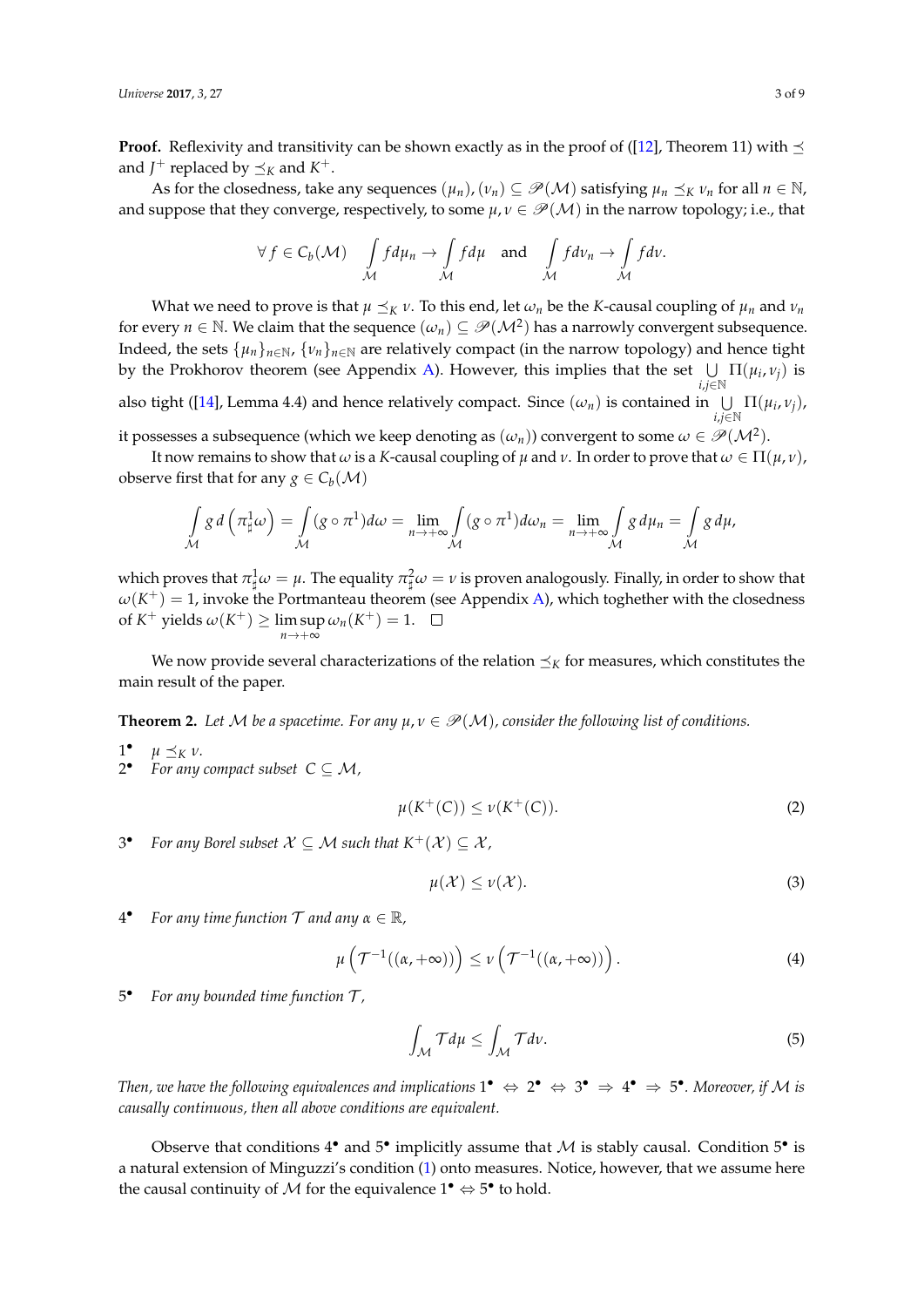**Proof.** Reflexivity and transitivity can be shown exactly as in the proof of ([\[12\]](#page-7-5), Theorem 11) with  $\preceq$ and  $J^+$  replaced by  $\preceq_K$  and  $K^+$ .

As for the closedness, take any sequences  $(\mu_n)$ ,  $(\nu_n) \subseteq \mathscr{P}(\mathcal{M})$  satisfying  $\mu_n \preceq_K \nu_n$  for all  $n \in \mathbb{N}$ , and suppose that they converge, respectively, to some  $\mu, \nu \in \mathcal{P}(\mathcal{M})$  in the narrow topology; i.e., that

$$
\forall f \in C_b(\mathcal{M}) \quad \int_{\mathcal{M}} f d\mu_n \to \int_{\mathcal{M}} f d\mu \quad \text{and} \quad \int_{\mathcal{M}} f d\nu_n \to \int_{\mathcal{M}} f d\nu.
$$

What we need to prove is that  $\mu \leq_K \nu$ . To this end, let  $\omega_n$  be the *K*-causal coupling of  $\mu_n$  and  $\nu_n$ for every  $n \in \mathbb{N}$ . We claim that the sequence  $(\omega_n) \subseteq \mathscr{P}(\mathcal{M}^2)$  has a narrowly convergent subsequence. Indeed, the sets  $\{\mu_n\}_{n\in\mathbb{N}}$ ,  $\{\nu_n\}_{n\in\mathbb{N}}$  are relatively compact (in the narrow topology) and hence tight by the Prokhorov theorem (see Appendix [A\)](#page-6-1). However, this implies that the set  $\bigcup \Pi(\mu_i, \nu_j)$  is *i*,*j*∈N also tight ([\[14\]](#page-7-7), Lemma 4.4) and hence relatively compact. Since  $(\omega_n)$  is contained in  $\bigcup \Pi(\mu_i, \nu_j)$ , *i*,*j*∈N

it possesses a subsequence (which we keep denoting as  $(\omega_n)$ ) convergent to some  $\omega\in \mathscr{P}(\mathcal{M}^2).$ 

It now remains to show that  $\omega$  is a *K*-causal coupling of  $\mu$  and  $\nu$ . In order to prove that  $\omega \in \Pi(\mu, \nu)$ , observe first that for any  $g \in C_b(\mathcal{M})$ 

$$
\int_{\mathcal{M}} g d\left(\pi_{\sharp}^1 \omega\right) = \int_{\mathcal{M}} (g \circ \pi^1) d\omega = \lim_{n \to +\infty} \int_{\mathcal{M}} (g \circ \pi^1) d\omega_n = \lim_{n \to +\infty} \int_{\mathcal{M}} g d\mu_n = \int_{\mathcal{M}} g d\mu,
$$

which proves that  $\pi_\sharp^1\omega=\mu.$  The equality  $\pi_\sharp^2\omega=\nu$  is proven analogously. Finally, in order to show that  $\omega(K^+) = 1$ , invoke the Portmanteau theorem (see Appendix [A\)](#page-6-1), which toghether with the closedness of  $K^+$  yields  $\omega(K^+) \ge \limsup \omega_n(K^+) = 1$ .  $n \rightarrow +\infty$ 

We now provide several characterizations of the relation  $\preceq_K$  for measures, which constitutes the main result of the paper.

<span id="page-2-0"></span>**Theorem 2.** Let M be a spacetime. For any  $\mu, \nu \in \mathcal{P}(\mathcal{M})$ , consider the following list of conditions.

- $1^{\bullet}$  $\mu \preceq_K \nu$ .
- 2 *For any compact subset*  $C \subseteq M$ ,

$$
\mu(K^+(C)) \le \nu(K^+(C)).
$$
 (2)

3 *For any Borel subset*  $X \subseteq M$  *such that*  $K^+(\mathcal{X}) \subseteq \mathcal{X}$ *,* 

<span id="page-2-2"></span>
$$
\mu(\mathcal{X}) \le \nu(\mathcal{X}).\tag{3}
$$

 $4^{\bullet}$ *For any time function*  $\mathcal T$  *and any*  $\alpha \in \mathbb{R}$ *,* 

$$
\mu\left(\mathcal{T}^{-1}((\alpha,+\infty))\right) \leq \nu\left(\mathcal{T}^{-1}((\alpha,+\infty))\right). \tag{4}
$$

5 • *For any bounded time function* T *,*

<span id="page-2-1"></span>
$$
\int_{\mathcal{M}} \mathcal{T} d\mu \le \int_{\mathcal{M}} \mathcal{T} d\nu. \tag{5}
$$

*Then, we have the following equivalences and implications*  $1^{\bullet} \Leftrightarrow 2^{\bullet} \Leftrightarrow 3^{\bullet} \Rightarrow 4^{\bullet} \Rightarrow 5^{\bullet}$ *. Moreover, if M is causally continuous, then all above conditions are equivalent.*

Observe that conditions  $4^{\bullet}$  and  $5^{\bullet}$  implicitly assume that M is stably causal. Condition  $5^{\bullet}$  is a natural extension of Minguzzi's condition [\(1\)](#page-1-3) onto measures. Notice, however, that we assume here the causal continuity of  $M$  for the equivalence  $1^{\bullet} \Leftrightarrow 5^{\bullet}$  to hold.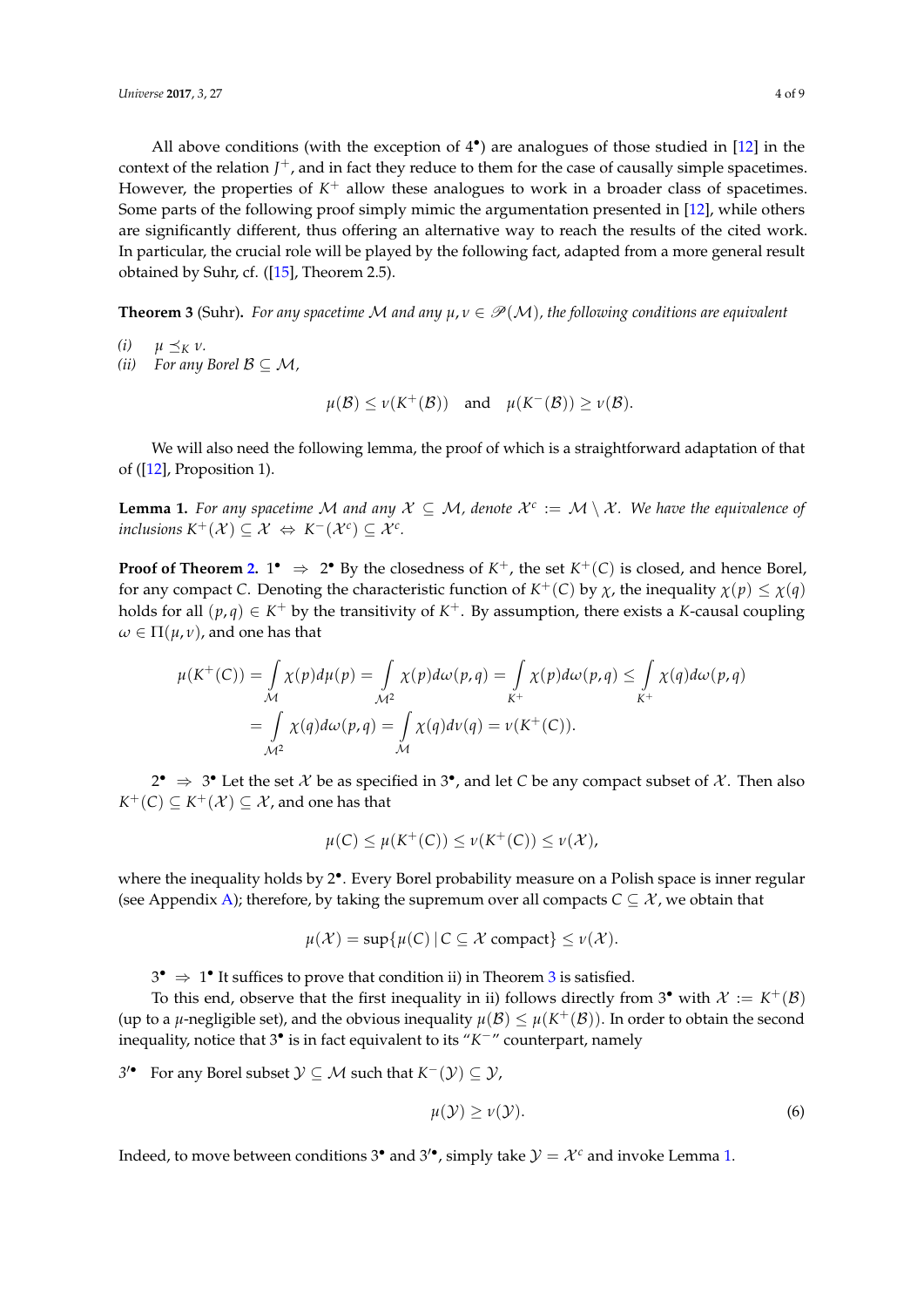All above conditions (with the exception of  $4^{\bullet}$ ) are analogues of those studied in [\[12\]](#page-7-5) in the context of the relation  $J^+$ , and in fact they reduce to them for the case of causally simple spacetimes. However, the properties of  $K^+$  allow these analogues to work in a broader class of spacetimes. Some parts of the following proof simply mimic the argumentation presented in [\[12\]](#page-7-5), while others are significantly different, thus offering an alternative way to reach the results of the cited work. In particular, the crucial role will be played by the following fact, adapted from a more general result obtained by Suhr, cf.  $([15]$  $([15]$ , Theorem 2.5).

<span id="page-3-0"></span>**Theorem 3** (Suhr). For any spacetime M and any  $\mu, \nu \in \mathcal{P}(\mathcal{M})$ , the following conditions are equivalent

- *(i)*  $\mu \preceq_K \nu$ .
- *(ii) For any Borel*  $B \subseteq M$ *,*

 $\mu(\mathcal{B}) \le \nu(K^+(\mathcal{B}))$  and  $\mu(K^-(\mathcal{B})) \ge \nu(\mathcal{B}).$ 

We will also need the following lemma, the proof of which is a straightforward adaptation of that of ([\[12\]](#page-7-5), Proposition 1).

<span id="page-3-1"></span>**Lemma 1.** *For any spacetime* M *and any*  $X \subseteq M$ , *denote*  $X^c := M \setminus X$ *. We have the equivalence of inclusions*  $K^+(\mathcal{X}) \subseteq \mathcal{X} \Leftrightarrow K^-(\mathcal{X}^c) \subseteq \mathcal{X}^c$ .

**Proof of Theorem [2.](#page-2-0)**  $1^{\bullet} \Rightarrow 2^{\bullet}$  By the closedness of  $K^{+}$ , the set  $K^{+}(C)$  is closed, and hence Borel, for any compact *C*. Denoting the characteristic function of  $K^+(C)$  by  $\chi$ , the inequality  $\chi(p) \leq \chi(q)$ holds for all  $(p,q) \in K^+$  by the transitivity of  $K^+$ . By assumption, there exists a *K*-causal coupling  $\omega \in \Pi(\mu, \nu)$ , and one has that

$$
\mu(K^+(C)) = \int_{\mathcal{M}} \chi(p) d\mu(p) = \int_{\mathcal{M}^2} \chi(p) d\omega(p,q) = \int_{K^+} \chi(p) d\omega(p,q) \leq \int_{K^+} \chi(q) d\omega(p,q)
$$

$$
= \int_{\mathcal{M}^2} \chi(q) d\omega(p,q) = \int_{\mathcal{M}} \chi(q) d\nu(q) = \nu(K^+(C)).
$$

2<sup>•</sup> ⇒ 3<sup>•</sup> Let the set  $\mathcal X$  be as specified in 3<sup>•</sup>, and let *C* be any compact subset of  $\mathcal X$ . Then also  $K^+(C) \subseteq K^+(\mathcal{X}) \subseteq \mathcal{X}$  , and one has that

$$
\mu(C) \leq \mu(K^+(C)) \leq \nu(K^+(C)) \leq \nu(\mathcal{X}),
$$

where the inequality holds by 2<sup>•</sup>. Every Borel probability measure on a Polish space is inner regular (see Appendix [A\)](#page-6-1); therefore, by taking the supremum over all compacts  $C \subseteq \mathcal{X}$ , we obtain that

$$
\mu(\mathcal{X}) = \sup \{ \mu(C) \mid C \subseteq \mathcal{X} \text{ compact} \} \le \nu(\mathcal{X}).
$$

 $3^{\bullet} \Rightarrow 1^{\bullet}$  $3^{\bullet} \Rightarrow 1^{\bullet}$  It suffices to prove that condition ii) in Theorem 3 is satisfied.

To this end, observe that the first inequality in ii) follows directly from  $3^{\bullet}$  with  $\mathcal{X} := K^+(\mathcal{B})$ (up to a  $\mu$ -negligible set), and the obvious inequality  $\mu(\mathcal{B})\leq\mu(K^+(\mathcal{B}))$ . In order to obtain the second inequality, notice that 3• is in fact equivalent to its "*K* <sup>−</sup>" counterpart, namely

*3*<sup> $\bullet$ </sup> For any Borel subset  $Y \subseteq M$  such that  $K^{-}(Y) \subseteq Y$ ,

$$
\mu(\mathcal{Y}) \ge \nu(\mathcal{Y}).\tag{6}
$$

Indeed, to move between conditions 3<sup>•</sup> and 3<sup>'</sup>, simply take  $\mathcal{Y} = \mathcal{X}^c$  and invoke Lemma [1.](#page-3-1)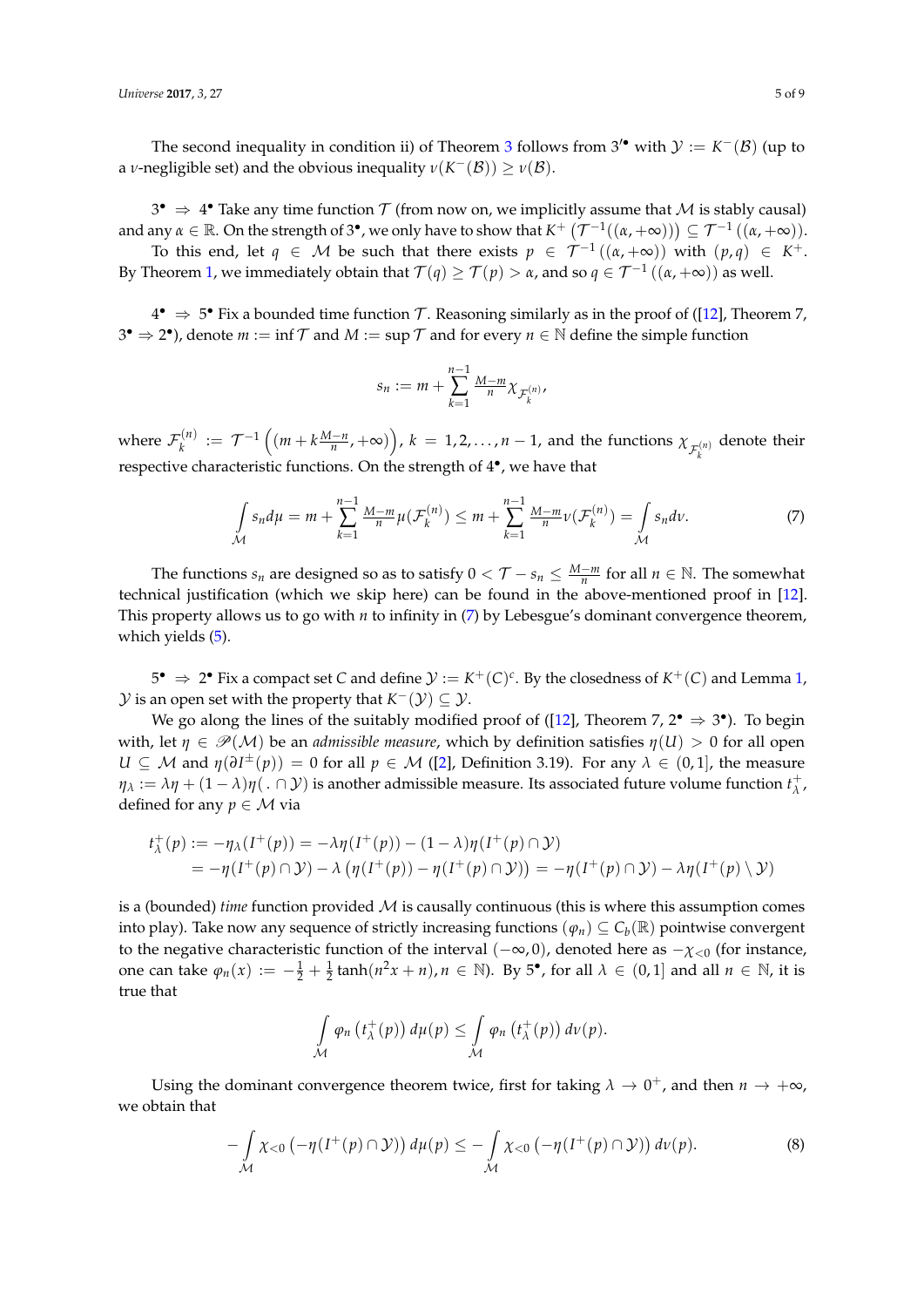The second inequality in condition ii) of Theorem [3](#page-3-0) follows from  $3'$  with  $\mathcal{Y} := K^-(\mathcal{B})$  (up to a *ν*-negligible set) and the obvious inequality  $\nu(K^-(\mathcal{B})) \ge \nu(\mathcal{B})$ .

3<sup>•</sup>  $\Rightarrow$  4° Take any time function  $\mathcal T$  (from now on, we implicitly assume that  $\mathcal M$  is stably causal) and any  $\alpha \in \mathbb{R}$ . On the strength of 3<sup>•</sup>, we only have to show that  $K^+$   $(\mathcal{T}^{-1}((\alpha, +\infty))) \subseteq \mathcal{T}^{-1}((\alpha, +\infty))$ .

To this end, let  $q \in M$  be such that there exists  $p \in \mathcal{T}^{-1}((\alpha, +\infty))$  with  $(p,q) \in K^+$ . By Theorem [1,](#page-1-4) we immediately obtain that  $\mathcal{T}(q)\geq \mathcal{T}(p)>\alpha$ , and so  $q\in \mathcal{T}^{-1}\left((\alpha,+\infty)\right)$  as well.

 $4^{\bullet}$  ⇒ 5 $^{\bullet}$  Fix a bounded time function  $\mathcal{T}$ . Reasoning similarly as in the proof of ([\[12\]](#page-7-5), Theorem 7,  $3^{\bullet} \Rightarrow 2^{\bullet}$ ), denote  $m := \inf \mathcal{T}$  and  $M := \sup \mathcal{T}$  and for every  $n \in \mathbb{N}$  define the simple function

<span id="page-4-0"></span>
$$
s_n:=m+\sum_{k=1}^{n-1}\tfrac{M-m}{n}\chi_{\mathcal{F}_k^{(n)}},
$$

where  $\mathcal{F}_k^{(n)}$  $f_k^{(n)} := \mathcal{T}^{-1}\left((m + k\frac{M-n}{n}, +\infty)\right)$ ,  $k = 1, 2, ..., n-1$ , and the functions  $\chi_{\mathcal{F}_k^{(n)}}$  denote their respective characteristic functions. On the strength of 4<sup>°</sup>, we have that

$$
\int_{\mathcal{M}} s_n d\mu = m + \sum_{k=1}^{n-1} \frac{M-m}{n} \mu(\mathcal{F}_k^{(n)}) \le m + \sum_{k=1}^{n-1} \frac{M-m}{n} \nu(\mathcal{F}_k^{(n)}) = \int_{\mathcal{M}} s_n d\nu.
$$
 (7)

The functions  $s_n$  are designed so as to satisfy  $0 < \mathcal{T} - s_n \leq \frac{M-m}{n}$  for all  $n \in \mathbb{N}$ . The somewhat technical justification (which we skip here) can be found in the above-mentioned proof in [\[12\]](#page-7-5). This property allows us to go with *n* to infinity in [\(7\)](#page-4-0) by Lebesgue's dominant convergence theorem, which yields [\(5\)](#page-2-1).

 $5^{\bullet} \Rightarrow 2^{\bullet}$  Fix a compact set *C* and define  $\mathcal{Y} := K^+(C)^c$ . By the closedness of  $K^+(C)$  and Lemma [1,](#page-3-1)  $\mathcal Y$  is an open set with the property that  $K^-(\mathcal Y) \subseteq \mathcal Y$ .

We go along the lines of the suitably modified proof of ([\[12\]](#page-7-5), Theorem 7,  $2^{\bullet} \Rightarrow 3^{\bullet}$ ). To begin with, let  $\eta \in \mathcal{P}(\mathcal{M})$  be an *admissible measure*, which by definition satisfies  $\eta(U) > 0$  for all open *U* ⊆ *M* and  $\eta(\partial I^{\pm}(p)) = 0$  for all  $p \in M$  ([\[2\]](#page-7-1), Definition 3.19). For any  $\lambda \in (0,1]$ , the measure  $\eta_\lambda := \lambda \eta + (1-\lambda)\eta($ .  $\cap$   $\cal Y)$  is another admissible measure. Its associated future volume function  $t_\lambda^+$ *λ* , defined for any  $p \in \mathcal{M}$  via

$$
t_{\lambda}^+(p) := -\eta_{\lambda}(I^+(p)) = -\lambda \eta(I^+(p)) - (1-\lambda)\eta(I^+(p) \cap \mathcal{Y})
$$
  
= 
$$
-\eta(I^+(p) \cap \mathcal{Y}) - \lambda \left( \eta(I^+(p)) - \eta(I^+(p) \cap \mathcal{Y}) \right) = -\eta(I^+(p) \cap \mathcal{Y}) - \lambda \eta(I^+(p) \setminus \mathcal{Y})
$$

is a (bounded) *time* function provided M is causally continuous (this is where this assumption comes into play). Take now any sequence of strictly increasing functions  $(\varphi_n) \subseteq C_b(\mathbb{R})$  pointwise convergent to the negative characteristic function of the interval ( $-\infty$ , 0), denoted here as  $-\chi$ <sub><0</sub> (for instance, one can take  $\varphi_n(x) := -\frac{1}{2} + \frac{1}{2} \tanh(n^2x + n), n \in \mathbb{N}$ . By 5<sup>•</sup>, for all  $\lambda \in (0, 1]$  and all  $n \in \mathbb{N}$ , it is true that

<span id="page-4-1"></span>
$$
\int_{\mathcal{M}} \varphi_n(t_\lambda^+(p)) d\mu(p) \leq \int_{\mathcal{M}} \varphi_n(t_\lambda^+(p)) d\nu(p).
$$

Using the dominant convergence theorem twice, first for taking  $\lambda \to 0^+$ , and then  $n \to +\infty$ , we obtain that

$$
-\int_{\mathcal{M}} \chi_{<0} \left( -\eta(I^+(p) \cap \mathcal{Y}) \right) d\mu(p) \leq -\int_{\mathcal{M}} \chi_{<0} \left( -\eta(I^+(p) \cap \mathcal{Y}) \right) d\nu(p). \tag{8}
$$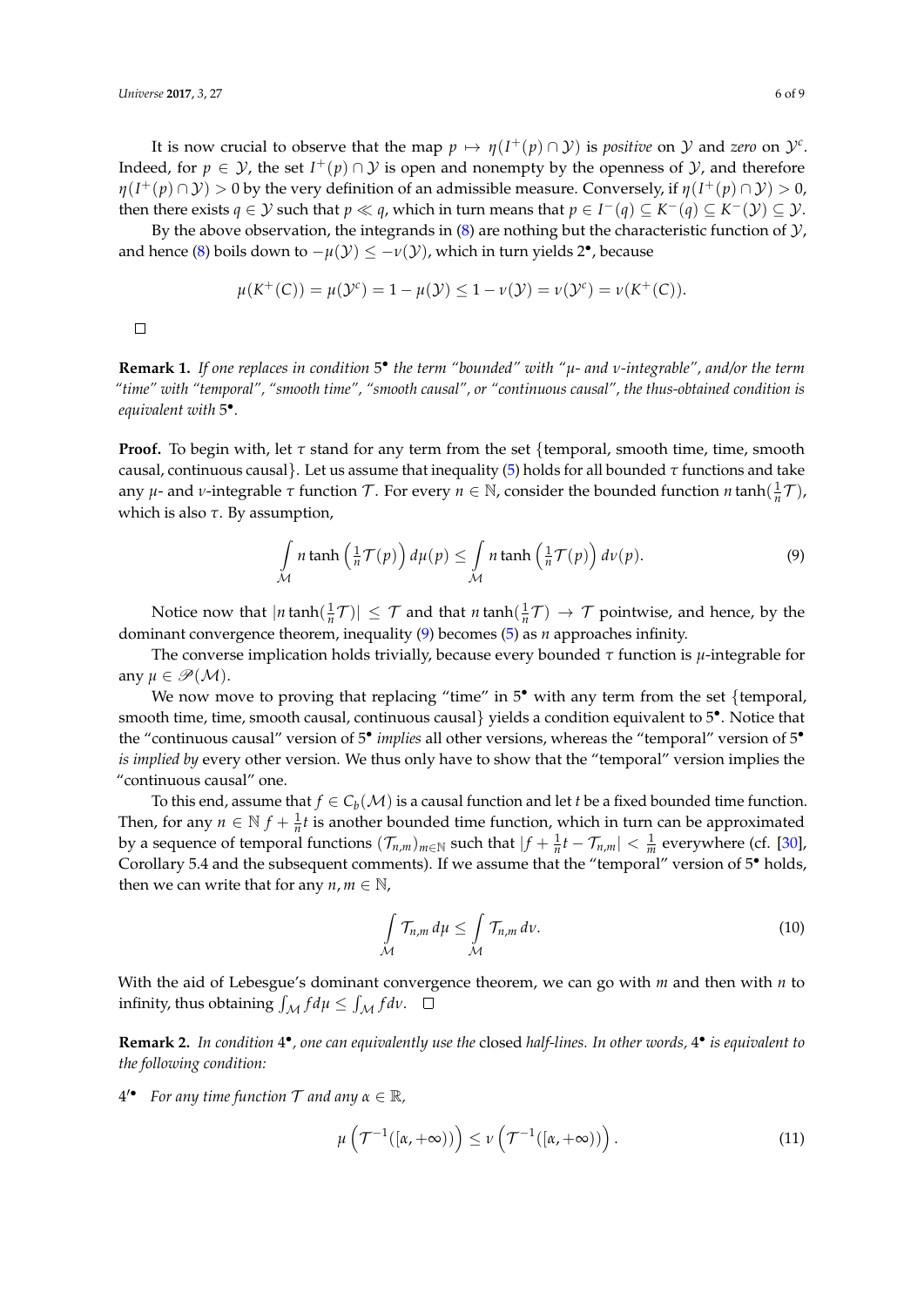It is now crucial to observe that the map  $p \mapsto \eta(I^+(p) \cap \mathcal{Y})$  is *positive* on  $\mathcal Y$  and zero on  $\mathcal Y^c$ . Indeed, for  $p \in \mathcal{Y}$ , the set  $I^+(p) \cap \mathcal{Y}$  is open and nonempty by the openness of  $\mathcal{Y}$ , and therefore  $\eta(I^+(p)\cap\mathcal{Y})>0$  by the very definition of an admissible measure. Conversely, if  $\eta(I^+(p)\cap\mathcal{Y})>0$ , then there exists  $q \in \mathcal{Y}$  such that  $p \ll q$ , which in turn means that  $p \in I^-(q) \subseteq K^-(q) \subseteq K^-(\mathcal{Y}) \subseteq \mathcal{Y}$ .

By the above observation, the integrands in [\(8\)](#page-4-1) are nothing but the characteristic function of  $\mathcal{Y}$ , and hence [\(8\)](#page-4-1) boils down to  $-\mu(\mathcal{Y}) \le -\nu(\mathcal{Y})$ , which in turn yields 2<sup>•</sup>, because

$$
\mu(K^+(C)) = \mu(\mathcal{Y}^c) = 1 - \mu(\mathcal{Y}) \leq 1 - \nu(\mathcal{Y}) = \nu(\mathcal{Y}^c) = \nu(K^+(C)).
$$

 $\Box$ 

<span id="page-5-2"></span>**Remark 1.** *If one replaces in condition* 5 • *the term "bounded" with "µ- and ν-integrable", and/or the term "time" with "temporal", "smooth time", "smooth causal", or "continuous causal", the thus-obtained condition is equivalent with* 5 • *.*

**Proof.** To begin with, let  $\tau$  stand for any term from the set {temporal, smooth time, time, smooth causal, continuous causal}. Let us assume that inequality [\(5\)](#page-2-1) holds for all bounded *τ* functions and take any  $\mu$ - and  $\nu$ -integrable  $\tau$  function  $\mathcal{T}$ . For every  $n \in \mathbb{N}$ , consider the bounded function  $n \tanh(\frac{1}{n}\mathcal{T})$ , which is also *τ*. By assumption,

<span id="page-5-0"></span>
$$
\int_{\mathcal{M}} n \tanh\left(\frac{1}{n}\mathcal{T}(p)\right) d\mu(p) \leq \int_{\mathcal{M}} n \tanh\left(\frac{1}{n}\mathcal{T}(p)\right) d\nu(p).
$$
\n(9)

Notice now that  $|n \tanh(\frac{1}{n}\mathcal{T})| \leq \mathcal{T}$  and that  $n \tanh(\frac{1}{n}\mathcal{T}) \to \mathcal{T}$  pointwise, and hence, by the dominant convergence theorem, inequality [\(9\)](#page-5-0) becomes [\(5\)](#page-2-1) as *n* approaches infinity.

The converse implication holds trivially, because every bounded *τ* function is *µ*-integrable for any  $\mu \in \mathscr{P}(\mathcal{M})$ .

We now move to proving that replacing "time" in 5<sup>•</sup> with any term from the set {temporal, smooth time, time, smooth causal, continuous causal} yields a condition equivalent to 5<sup>•</sup>. Notice that the "continuous causal" version of 5<sup>•</sup> implies all other versions, whereas the "temporal" version of 5<sup>•</sup> *is implied by* every other version. We thus only have to show that the "temporal" version implies the "continuous causal" one.

To this end, assume that  $f \in C_b(\mathcal{M})$  is a causal function and let *t* be a fixed bounded time function. Then, for any  $n \in \mathbb{N}$   $f + \frac{1}{n}t$  is another bounded time function, which in turn can be approximated by a sequence of temporal functions  $(\mathcal{T}_{n,m})_{m\in\mathbb{N}}$  such that  $|f+\frac{1}{n}t-\mathcal{T}_{n,m}|<\frac{1}{m}$  everywhere (cf. [\[30\]](#page-8-5), Corollary 5.4 and the subsequent comments). If we assume that the "temporal" version of 5<sup>•</sup> holds, then we can write that for any  $n, m \in \mathbb{N}$ ,

$$
\int_{\mathcal{M}} \mathcal{T}_{n,m} d\mu \leq \int_{\mathcal{M}} \mathcal{T}_{n,m} d\nu.
$$
\n(10)

With the aid of Lebesgue's dominant convergence theorem, we can go with *m* and then with *n* to infinity, thus obtaining  $\int_{\mathcal{M}} f d\mu \le \int_{\mathcal{M}} f d\nu$ .

Remark 2. In condition 4<sup>•</sup>, one can equivalently use the closed half-lines. In other words, 4<sup>•</sup> is equivalent to *the following condition:*

 $4'$  **For any time function T and any**  $\alpha \in \mathbb{R}$ **,** 

<span id="page-5-1"></span>
$$
\mu\left(\mathcal{T}^{-1}([\alpha, +\infty))\right) \leq \nu\left(\mathcal{T}^{-1}([\alpha, +\infty))\right). \tag{11}
$$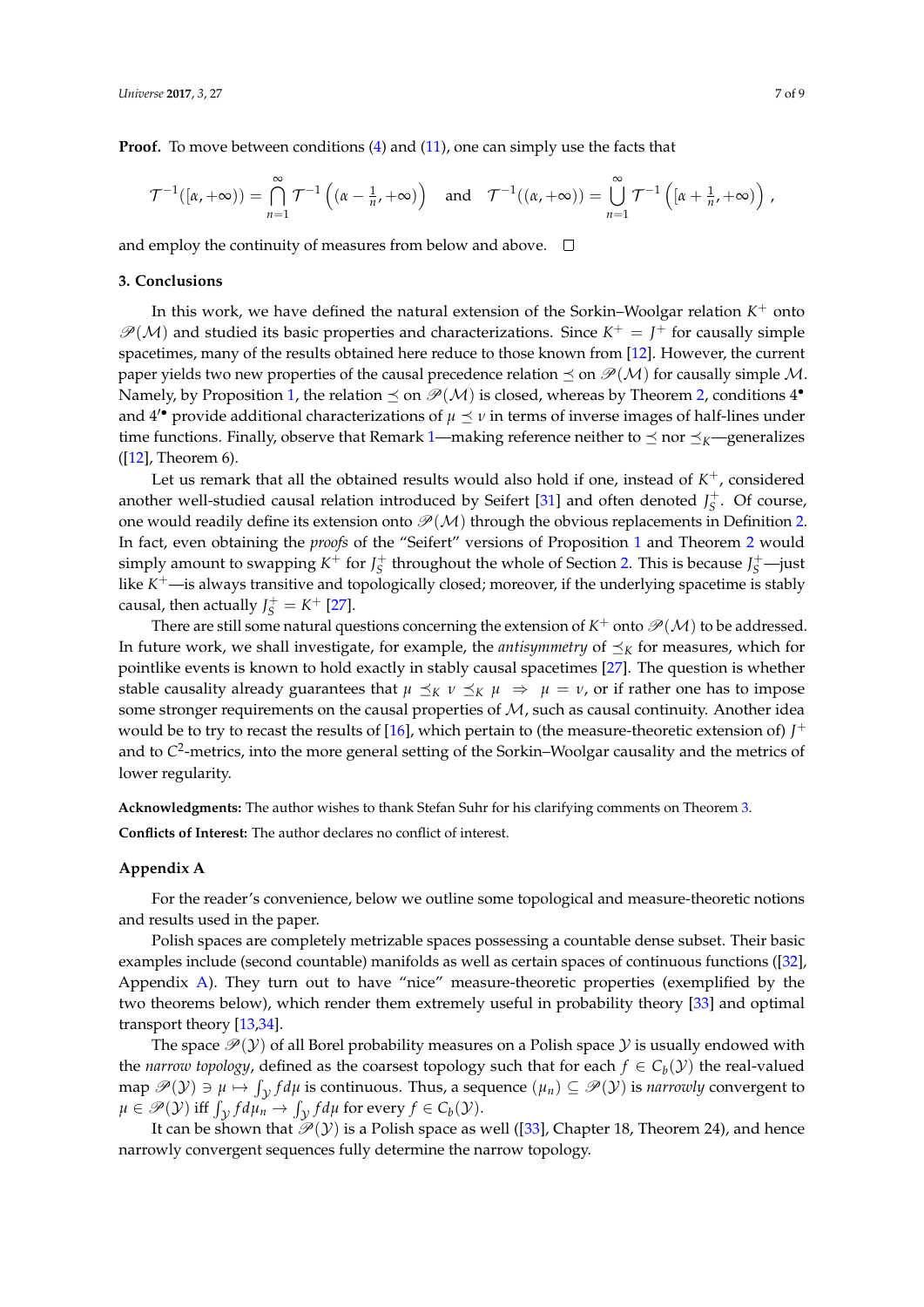**Proof.** To move between conditions [\(4\)](#page-2-2) and [\(11\)](#page-5-1), one can simply use the facts that

$$
\mathcal{T}^{-1}([\alpha,+\infty)) = \bigcap_{n=1}^{\infty} \mathcal{T}^{-1}\left((\alpha-\frac{1}{n},+\infty)\right) \quad \text{and} \quad \mathcal{T}^{-1}((\alpha,+\infty)) = \bigcup_{n=1}^{\infty} \mathcal{T}^{-1}\left([\alpha+\frac{1}{n},+\infty)\right),
$$

and employ the continuity of measures from below and above.  $\Box$ 

#### <span id="page-6-0"></span>**3. Conclusions**

In this work, we have defined the natural extension of the Sorkin–Woolgar relation  $K^+$  onto  $\mathcal{P}(\mathcal{M})$  and studied its basic properties and characterizations. Since  $K^+ = J^+$  for causally simple spacetimes, many of the results obtained here reduce to those known from [\[12\]](#page-7-5). However, the current paper yields two new properties of the causal precedence relation  $\preceq$  on  $\mathcal{P}(\mathcal{M})$  for causally simple M. Namely, by Proposition [1,](#page-1-2) the relation  $\preceq$  on  $\mathscr{P}(\mathcal{M})$  is closed, whereas by Theorem [2,](#page-2-0) conditions  $4^{\bullet}$ and  $4'$  provide additional characterizations of  $\mu \preceq \nu$  in terms of inverse images of half-lines under time functions. Finally, observe that Remark [1—](#page-5-2)making reference neither to  $\preceq$  nor  $\preceq_K$ —generalizes  $([12]$  $([12]$ , Theorem 6).

Let us remark that all the obtained results would also hold if one, instead of  $K^+$ , considered another well-studied causal relation introduced by Seifert [\[31\]](#page-8-6) and often denoted  $J_S^+$ . Of course, one would readily define its extension onto  $\mathcal{P}(\mathcal{M})$  through the obvious replacements in Definition [2.](#page-1-0) In fact, even obtaining the *proofs* of the "Seifert" versions of Proposition [1](#page-1-2) and Theorem [2](#page-2-0) would simply amount to swapping  $K^+$  for  $J_S^+$  throughout the whole of Section [2.](#page-1-1) This is because  $J_S^+$ —just like *K* <sup>+</sup>—is always transitive and topologically closed; moreover, if the underlying spacetime is stably causal, then actually  $J_S^+ = K^+$  [\[27\]](#page-8-2).

There are still some natural questions concerning the extension of  $K^+$  onto  $\mathscr{P}(\mathcal{M})$  to be addressed. In future work, we shall investigate, for example, the *antisymmetry* of  $\preceq_K$  for measures, which for pointlike events is known to hold exactly in stably causal spacetimes [\[27\]](#page-8-2). The question is whether stable causality already guarantees that  $\mu \preceq_K \nu \preceq_K \mu \Rightarrow \mu = \nu$ , or if rather one has to impose some stronger requirements on the causal properties of M, such as causal continuity. Another idea would be to try to recast the results of  $[16]$ , which pertain to (the measure-theoretic extension of)  $J^+$ and to *C* 2 -metrics, into the more general setting of the Sorkin–Woolgar causality and the metrics of lower regularity.

**Acknowledgments:** The author wishes to thank Stefan Suhr for his clarifying comments on Theorem [3.](#page-3-0)

**Conflicts of Interest:** The author declares no conflict of interest.

#### <span id="page-6-1"></span>**Appendix A**

For the reader's convenience, below we outline some topological and measure-theoretic notions and results used in the paper.

Polish spaces are completely metrizable spaces possessing a countable dense subset. Their basic examples include (second countable) manifolds as well as certain spaces of continuous functions ([\[32\]](#page-8-7), Appendix [A\)](#page-6-1). They turn out to have "nice" measure-theoretic properties (exemplified by the two theorems below), which render them extremely useful in probability theory [\[33\]](#page-8-8) and optimal transport theory [\[13](#page-7-6)[,34\]](#page-8-9).

The space  $\mathcal{P}(y)$  of all Borel probability measures on a Polish space  $y$  is usually endowed with the *narrow topology*, defined as the coarsest topology such that for each  $f \in C_b(\mathcal{Y})$  the real-valued  $\mathcal{P}(\mathcal{Y}) \ni \mu \mapsto \int_{\mathcal{Y}} f d\mu$  is continuous. Thus, a sequence  $(\mu_n) \subseteq \mathscr{P}(\mathcal{Y})$  is *narrowly* convergent to  $\mu \in \mathscr{P}(\mathcal{Y})$  iff  $\int_{\mathcal{Y}} f d\mu_n \to \int_{\mathcal{Y}} f d\mu$  for every  $f \in C_b(\mathcal{Y})$ .

It can be shown that  $\mathcal{P}(Y)$  is a Polish space as well ([\[33\]](#page-8-8), Chapter 18, Theorem 24), and hence narrowly convergent sequences fully determine the narrow topology.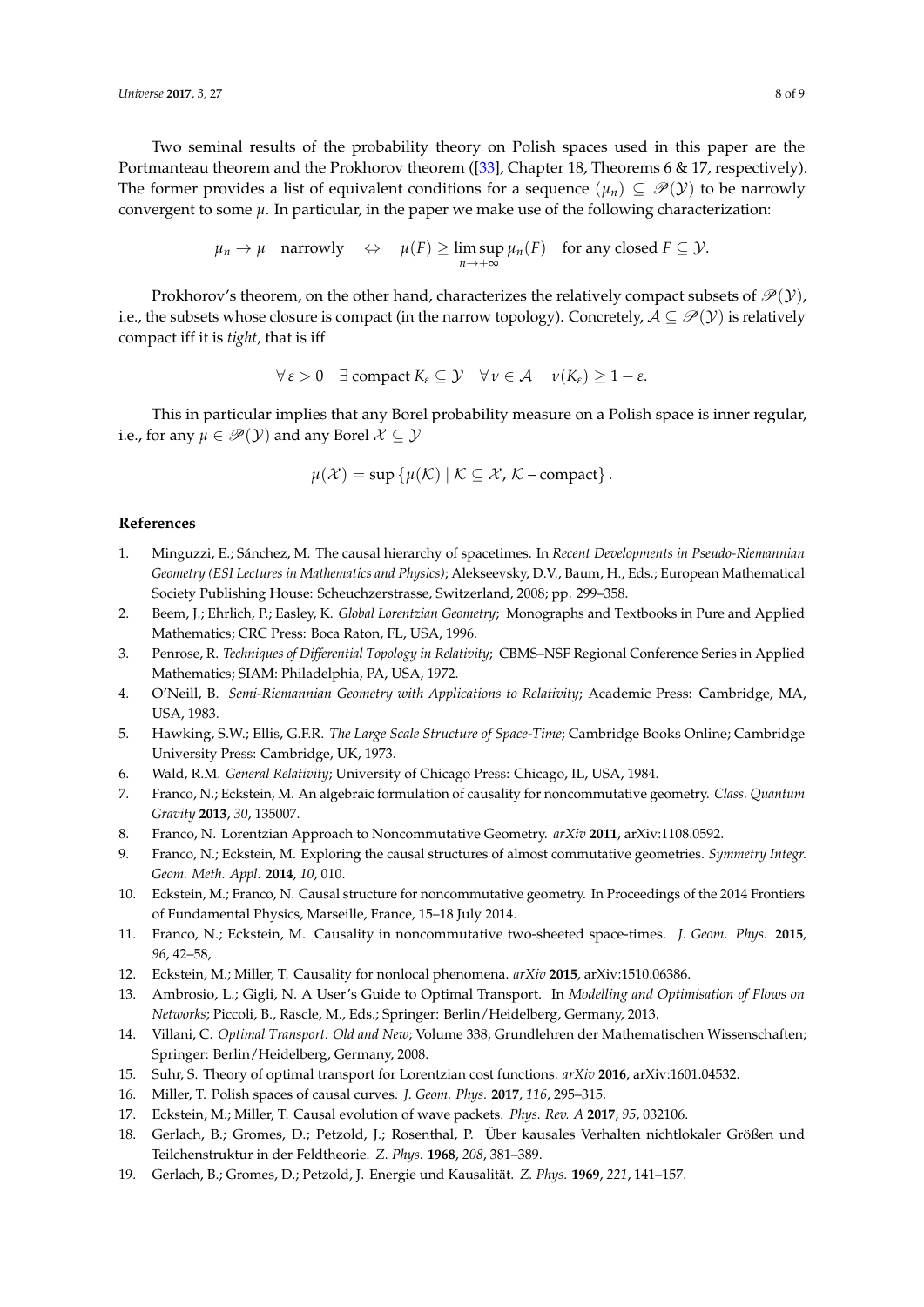Two seminal results of the probability theory on Polish spaces used in this paper are the Portmanteau theorem and the Prokhorov theorem ([\[33\]](#page-8-8), Chapter 18, Theorems 6 & 17, respectively). The former provides a list of equivalent conditions for a sequence  $(\mu_n) \subseteq \mathcal{P}(Y)$  to be narrowly convergent to some *µ*. In particular, in the paper we make use of the following characterization:

$$
\mu_n \to \mu
$$
 narrowly  $\Leftrightarrow \mu(F) \ge \limsup_{n \to +\infty} \mu_n(F)$  for any closed  $F \subseteq \mathcal{Y}$ .

Prokhorov's theorem, on the other hand, characterizes the relatively compact subsets of  $\mathcal{P}(y)$ , i.e., the subsets whose closure is compact (in the narrow topology). Concretely,  $A \subseteq \mathcal{P}(Y)$  is relatively compact iff it is *tight*, that is iff

$$
\forall \varepsilon > 0 \quad \exists \text{ compact } K_{\varepsilon} \subseteq \mathcal{Y} \quad \forall \nu \in \mathcal{A} \quad \nu(K_{\varepsilon}) \geq 1 - \varepsilon.
$$

This in particular implies that any Borel probability measure on a Polish space is inner regular, i.e., for any  $\mu \in \mathcal{P}(Y)$  and any Borel  $\mathcal{X} \subseteq \mathcal{Y}$ 

$$
\mu(\mathcal{X}) = \sup \{ \mu(\mathcal{K}) \mid \mathcal{K} \subseteq \mathcal{X}, \mathcal{K} - \text{compact} \}.
$$

### **References**

- <span id="page-7-0"></span>1. Minguzzi, E.; Sánchez, M. The causal hierarchy of spacetimes. In *Recent Developments in Pseudo-Riemannian Geometry (ESI Lectures in Mathematics and Physics)*; Alekseevsky, D.V., Baum, H., Eds.; European Mathematical Society Publishing House: Scheuchzerstrasse, Switzerland, 2008; pp. 299–358.
- <span id="page-7-1"></span>2. Beem, J.; Ehrlich, P.; Easley, K. *Global Lorentzian Geometry*; Monographs and Textbooks in Pure and Applied Mathematics; CRC Press: Boca Raton, FL, USA, 1996.
- 3. Penrose, R. *Techniques of Differential Topology in Relativity*; CBMS–NSF Regional Conference Series in Applied Mathematics; SIAM: Philadelphia, PA, USA, 1972.
- 4. O'Neill, B. *Semi-Riemannian Geometry with Applications to Relativity*; Academic Press: Cambridge, MA, USA, 1983.
- 5. Hawking, S.W.; Ellis, G.F.R. *The Large Scale Structure of Space-Time*; Cambridge Books Online; Cambridge University Press: Cambridge, UK, 1973.
- <span id="page-7-2"></span>6. Wald, R.M. *General Relativity*; University of Chicago Press: Chicago, IL, USA, 1984.
- <span id="page-7-3"></span>7. Franco, N.; Eckstein, M. An algebraic formulation of causality for noncommutative geometry. *Class. Quantum Gravity* **2013**, *30*, 135007.
- 8. Franco, N. Lorentzian Approach to Noncommutative Geometry. *arXiv* **2011**, arXiv:1108.0592.
- 9. Franco, N.; Eckstein, M. Exploring the causal structures of almost commutative geometries. *Symmetry Integr. Geom. Meth. Appl.* **2014**, *10*, 010.
- 10. Eckstein, M.; Franco, N. Causal structure for noncommutative geometry. In Proceedings of the 2014 Frontiers of Fundamental Physics, Marseille, France, 15–18 July 2014.
- <span id="page-7-4"></span>11. Franco, N.; Eckstein, M. Causality in noncommutative two-sheeted space-times. *J. Geom. Phys.* **2015**, *96*, 42–58,
- <span id="page-7-5"></span>12. Eckstein, M.; Miller, T. Causality for nonlocal phenomena. *arXiv* **2015**, arXiv:1510.06386.
- <span id="page-7-6"></span>13. Ambrosio, L.; Gigli, N. A User's Guide to Optimal Transport. In *Modelling and Optimisation of Flows on Networks*; Piccoli, B., Rascle, M., Eds.; Springer: Berlin/Heidelberg, Germany, 2013.
- <span id="page-7-7"></span>14. Villani, C. *Optimal Transport: Old and New*; Volume 338, Grundlehren der Mathematischen Wissenschaften; Springer: Berlin/Heidelberg, Germany, 2008.
- <span id="page-7-8"></span>15. Suhr, S. Theory of optimal transport for Lorentzian cost functions. *arXiv* **2016**, arXiv:1601.04532.
- <span id="page-7-9"></span>16. Miller, T. Polish spaces of causal curves. *J. Geom. Phys.* **2017**, *116*, 295–315.
- <span id="page-7-10"></span>17. Eckstein, M.; Miller, T. Causal evolution of wave packets. *Phys. Rev. A* **2017**, *95*, 032106.
- <span id="page-7-11"></span>18. Gerlach, B.; Gromes, D.; Petzold, J.; Rosenthal, P. Über kausales Verhalten nichtlokaler Größen und Teilchenstruktur in der Feldtheorie. *Z. Phys.* **1968**, *208*, 381–389.
- 19. Gerlach, B.; Gromes, D.; Petzold, J. Energie und Kausalität. *Z. Phys.* **1969**, *221*, 141–157.